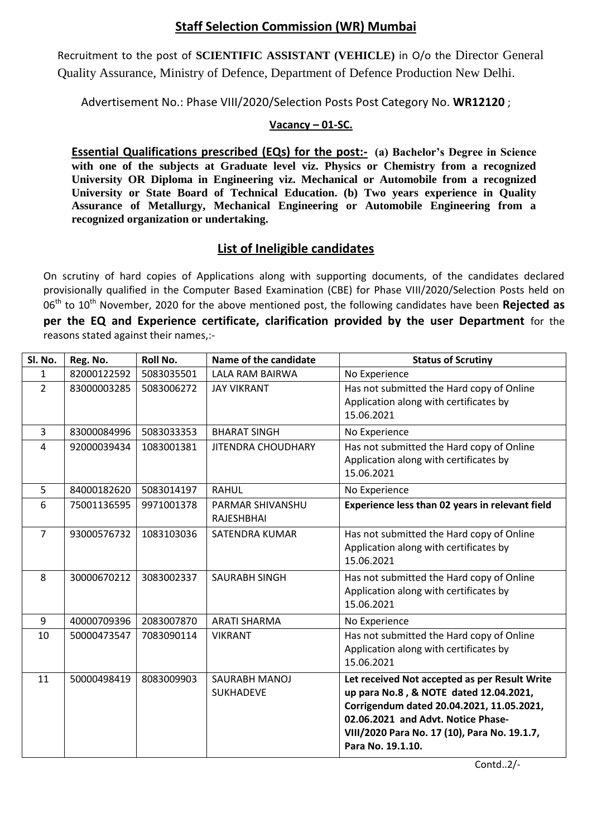## **Staff Selection Commission (WR) Mumbai**

Recruitment to the post of **SCIENTIFIC ASSISTANT (VEHICLE)** in O/o the Director General Quality Assurance, Ministry of Defence, Department of Defence Production New Delhi.

Advertisement No.: Phase VIII/2020/Selection Posts Post Category No. **WR12120** ;

## **Vacancy – 01-SC.**

**Essential Qualifications prescribed (EQs) for the post:- (a) Bachelor's Degree in Science with one of the subjects at Graduate level viz. Physics or Chemistry from a recognized University OR Diploma in Engineering viz. Mechanical or Automobile from a recognized University or State Board of Technical Education. (b) Two years experience in Quality Assurance of Metallurgy, Mechanical Engineering or Automobile Engineering from a recognized organization or undertaking.**

## **List of Ineligible candidates**

On scrutiny of hard copies of Applications along with supporting documents, of the candidates declared provisionally qualified in the Computer Based Examination (CBE) for Phase VIII/2020/Selection Posts held on 06<sup>th</sup> to 10<sup>th</sup> November, 2020 for the above mentioned post, the following candidates have been **Rejected as per the EQ and Experience certificate, clarification provided by the user Department** for the reasons stated against their names,:-

| Sl. No.        | Reg. No.    | Roll No.   | Name of the candidate             | <b>Status of Scrutiny</b>                                                                                                                                                                                                                       |
|----------------|-------------|------------|-----------------------------------|-------------------------------------------------------------------------------------------------------------------------------------------------------------------------------------------------------------------------------------------------|
| $\mathbf{1}$   | 82000122592 | 5083035501 | <b>LALA RAM BAIRWA</b>            | No Experience                                                                                                                                                                                                                                   |
| $2^{\circ}$    | 83000003285 | 5083006272 | <b>JAY VIKRANT</b>                | Has not submitted the Hard copy of Online<br>Application along with certificates by<br>15.06.2021                                                                                                                                               |
| $\overline{3}$ | 83000084996 | 5083033353 | <b>BHARAT SINGH</b>               | No Experience                                                                                                                                                                                                                                   |
| 4              | 92000039434 | 1083001381 | <b>JITENDRA CHOUDHARY</b>         | Has not submitted the Hard copy of Online<br>Application along with certificates by<br>15.06.2021                                                                                                                                               |
| 5              | 84000182620 | 5083014197 | <b>RAHUL</b>                      | No Experience                                                                                                                                                                                                                                   |
| 6              | 75001136595 | 9971001378 | PARMAR SHIVANSHU<br>RAJESHBHAI    | Experience less than 02 years in relevant field                                                                                                                                                                                                 |
| $\overline{7}$ | 93000576732 | 1083103036 | <b>SATENDRA KUMAR</b>             | Has not submitted the Hard copy of Online<br>Application along with certificates by<br>15.06.2021                                                                                                                                               |
| 8              | 30000670212 | 3083002337 | <b>SAURABH SINGH</b>              | Has not submitted the Hard copy of Online<br>Application along with certificates by<br>15.06.2021                                                                                                                                               |
| 9              | 40000709396 | 2083007870 | <b>ARATI SHARMA</b>               | No Experience                                                                                                                                                                                                                                   |
| 10             | 50000473547 | 7083090114 | <b>VIKRANT</b>                    | Has not submitted the Hard copy of Online<br>Application along with certificates by<br>15.06.2021                                                                                                                                               |
| 11             | 50000498419 | 8083009903 | SAURABH MANOJ<br><b>SUKHADEVE</b> | Let received Not accepted as per Result Write<br>up para No.8, & NOTE dated 12.04.2021,<br>Corrigendum dated 20.04.2021, 11.05.2021,<br>02.06.2021 and Advt. Notice Phase-<br>VIII/2020 Para No. 17 (10), Para No. 19.1.7,<br>Para No. 19.1.10. |